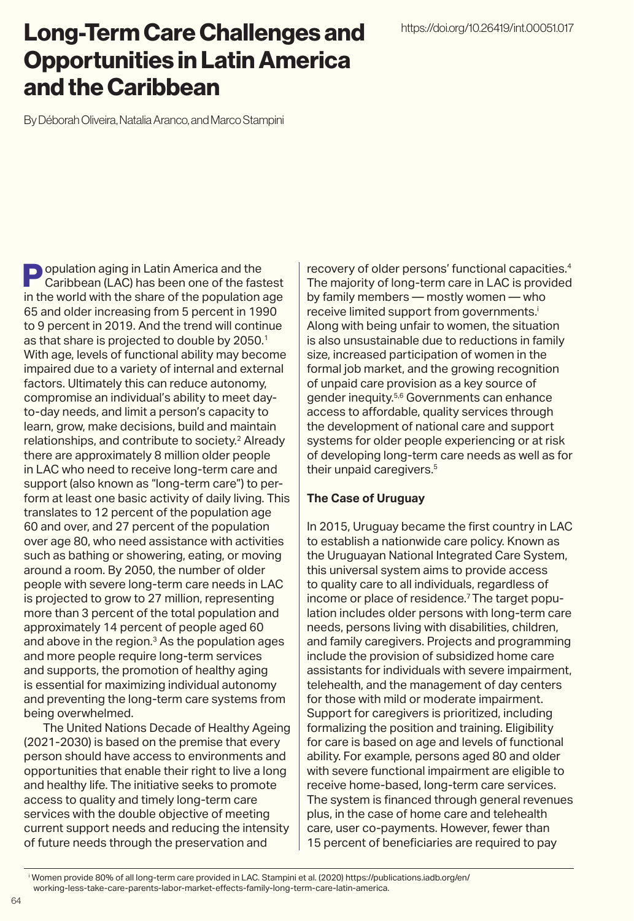## Long-Term Care Challenges and Opportunities in Latin America and the Caribbean

By Déborah Oliveira, Natalia Aranco, and Marco Stampini

**Population aging in Latin America and the** Caribbean (LAC) has been one of the fastest in the world with the share of the population age 65 and older increasing from 5 percent in 1990 to 9 percent in 2019. And the trend will continue as that share is projected to double by 2050.<sup>1</sup> With age, levels of functional ability may become impaired due to a variety of internal and external factors. Ultimately this can reduce autonomy, compromise an individual's ability to meet dayto-day needs, and limit a person's capacity to learn, grow, make decisions, build and maintain relationships, and contribute to society.2 Already there are approximately 8 million older people in LAC who need to receive long-term care and support (also known as "long-term care") to perform at least one basic activity of daily living. This translates to 12 percent of the population age 60 and over, and 27 percent of the population over age 80, who need assistance with activities such as bathing or showering, eating, or moving around a room. By 2050, the number of older people with severe long-term care needs in LAC is projected to grow to 27 million, representing more than 3 percent of the total population and approximately 14 percent of people aged 60 and above in the region.3 As the population ages and more people require long-term services and supports, the promotion of healthy aging is essential for maximizing individual autonomy and preventing the long-term care systems from being overwhelmed.

The United Nations Decade of Healthy Ageing (2021-2030) is based on the premise that every person should have access to environments and opportunities that enable their right to live a long and healthy life. The initiative seeks to promote access to quality and timely long-term care services with the double objective of meeting current support needs and reducing the intensity of future needs through the preservation and

recovery of older persons' functional capacities.4 The majority of long-term care in LAC is provided by family members — mostly women — who receive limited support from governments.<sup>i</sup> Along with being unfair to women, the situation is also unsustainable due to reductions in family size, increased participation of women in the formal job market, and the growing recognition of unpaid care provision as a key source of gender inequity.5,6 Governments can enhance access to affordable, quality services through the development of national care and support systems for older people experiencing or at risk of developing long-term care needs as well as for their unpaid caregivers.<sup>5</sup>

#### **The Case of Uruguay**

In 2015, Uruguay became the first country in LAC to establish a nationwide care policy. Known as the Uruguayan National Integrated Care System, this universal system aims to provide access to quality care to all individuals, regardless of income or place of residence.<sup>7</sup> The target population includes older persons with long-term care needs, persons living with disabilities, children, and family caregivers. Projects and programming include the provision of subsidized home care assistants for individuals with severe impairment, telehealth, and the management of day centers for those with mild or moderate impairment. Support for caregivers is prioritized, including formalizing the position and training. Eligibility for care is based on age and levels of functional ability. For example, persons aged 80 and older with severe functional impairment are eligible to receive home-based, long-term care services. The system is financed through general revenues plus, in the case of home care and telehealth care, user co-payments. However, fewer than 15 percent of beneficiaries are required to pay

i Women provide 80% of all long-term care provided in LAC. Stampini et al. (2020) https://publications.iadb.org/en/ working-less-take-care-parents-labor-market-effects-family-long-term-care-latin-america.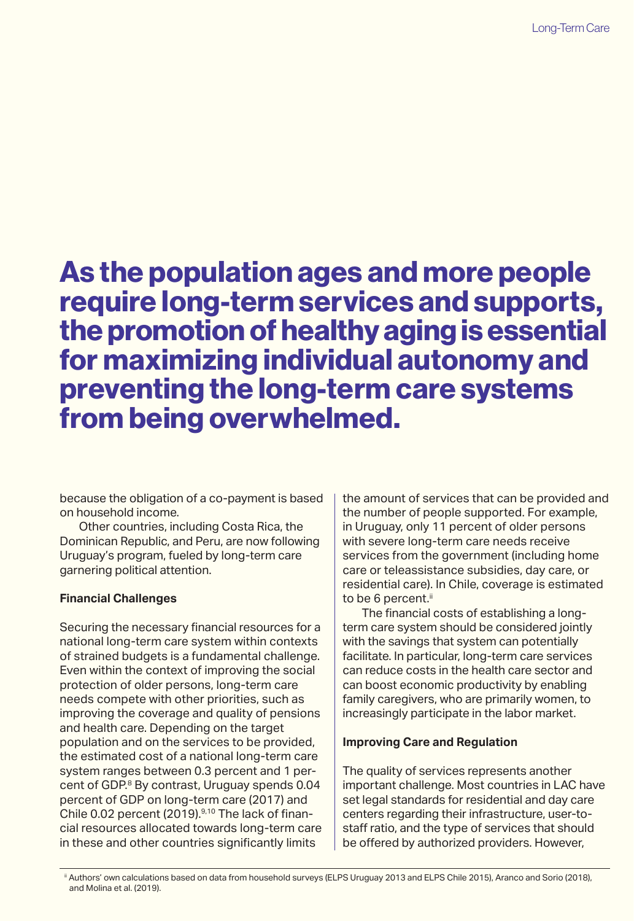# As the population ages and more people require long-term services and supports, the promotion of healthy aging is essential for maximizing individual autonomy and preventing the long-term care systems from being overwhelmed.

because the obligation of a co-payment is based on household income.

Other countries, including Costa Rica, the Dominican Republic, and Peru, are now following Uruguay's program, fueled by long-term care garnering political attention.

### **Financial Challenges**

Securing the necessary financial resources for a national long-term care system within contexts of strained budgets is a fundamental challenge. Even within the context of improving the social protection of older persons, long-term care needs compete with other priorities, such as improving the coverage and quality of pensions and health care. Depending on the target population and on the services to be provided, the estimated cost of a national long-term care system ranges between 0.3 percent and 1 percent of GDP.<sup>8</sup> By contrast, Uruguay spends 0.04 percent of GDP on long-term care (2017) and Chile 0.02 percent (2019).<sup>9,10</sup> The lack of financial resources allocated towards long-term care in these and other countries significantly limits

the amount of services that can be provided and the number of people supported. For example, in Uruguay, only 11 percent of older persons with severe long-term care needs receive services from the government (including home care or teleassistance subsidies, day care, or residential care). In Chile, coverage is estimated to be 6 percent.<sup>ii</sup>

The financial costs of establishing a longterm care system should be considered jointly with the savings that system can potentially facilitate. In particular, long-term care services can reduce costs in the health care sector and can boost economic productivity by enabling family caregivers, who are primarily women, to increasingly participate in the labor market.

### **Improving Care and Regulation**

The quality of services represents another important challenge. Most countries in LAC have set legal standards for residential and day care centers regarding their infrastructure, user-tostaff ratio, and the type of services that should be offered by authorized providers. However,

ii Authors' own calculations based on data from household surveys (ELPS Uruguay 2013 and ELPS Chile 2015), Aranco and Sorio (2018), and Molina et al. (2019).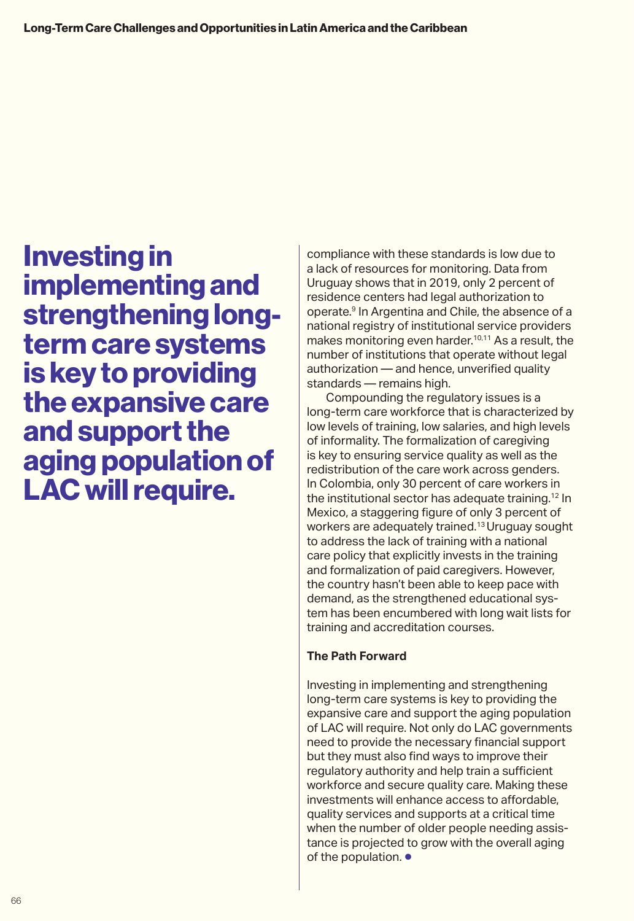Investing in implementing and strengthening longterm care systems is key to providing the expansive care and support the aging population of LAC will require.

compliance with these standards is low due to a lack of resources for monitoring. Data from Uruguay shows that in 2019, only 2 percent of residence centers had legal authorization to operate.9 In Argentina and Chile, the absence of a national registry of institutional service providers makes monitoring even harder.<sup>10,11</sup> As a result, the number of institutions that operate without legal authorization — and hence, unverified quality standards — remains high.

Compounding the regulatory issues is a long-term care workforce that is characterized by low levels of training, low salaries, and high levels of informality. The formalization of caregiving is key to ensuring service quality as well as the redistribution of the care work across genders. In Colombia, only 30 percent of care workers in the institutional sector has adequate training.12 In Mexico, a staggering figure of only 3 percent of workers are adequately trained.13 Uruguay sought to address the lack of training with a national care policy that explicitly invests in the training and formalization of paid caregivers. However, the country hasn't been able to keep pace with demand, as the strengthened educational system has been encumbered with long wait lists for training and accreditation courses.

### **The Path Forward**

Investing in implementing and strengthening long-term care systems is key to providing the expansive care and support the aging population of LAC will require. Not only do LAC governments need to provide the necessary financial support but they must also find ways to improve their regulatory authority and help train a sufficient workforce and secure quality care. Making these investments will enhance access to affordable, quality services and supports at a critical time when the number of older people needing assistance is projected to grow with the overall aging of the population. ●